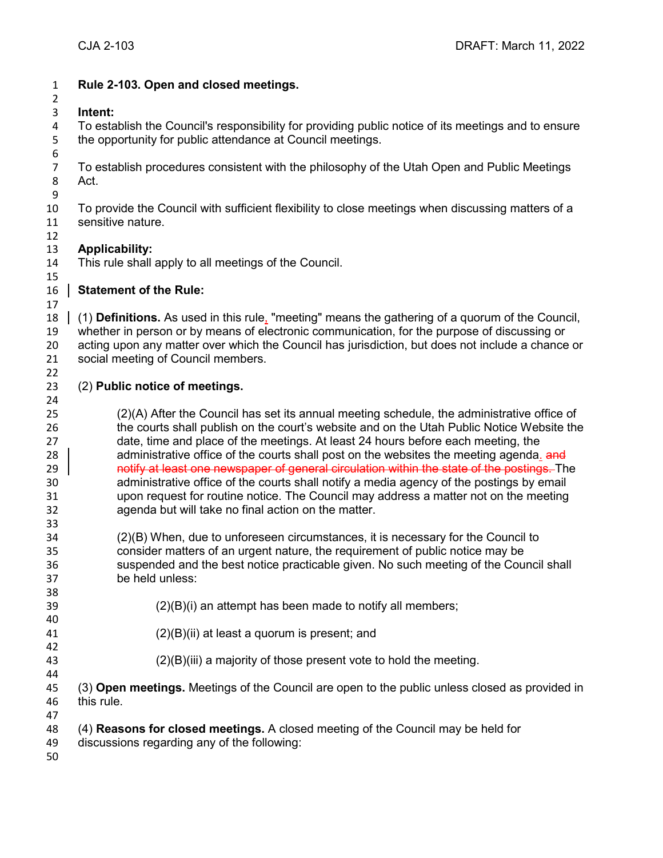| $\mathbf{1}$          | Rule 2-103. Open and closed meetings.                                                                                                                                            |
|-----------------------|----------------------------------------------------------------------------------------------------------------------------------------------------------------------------------|
| $\overline{2}$        |                                                                                                                                                                                  |
| 3                     | Intent:                                                                                                                                                                          |
| 4<br>5                | To establish the Council's responsibility for providing public notice of its meetings and to ensure<br>the opportunity for public attendance at Council meetings.                |
| 6                     |                                                                                                                                                                                  |
| $\overline{7}$        | To establish procedures consistent with the philosophy of the Utah Open and Public Meetings                                                                                      |
| 8<br>$\boldsymbol{9}$ | Act.                                                                                                                                                                             |
| 10                    | To provide the Council with sufficient flexibility to close meetings when discussing matters of a                                                                                |
| 11                    | sensitive nature.                                                                                                                                                                |
| 12                    |                                                                                                                                                                                  |
| 13                    | <b>Applicability:</b>                                                                                                                                                            |
| 14                    | This rule shall apply to all meetings of the Council.                                                                                                                            |
| 15                    |                                                                                                                                                                                  |
| 16                    | <b>Statement of the Rule:</b>                                                                                                                                                    |
| 17                    |                                                                                                                                                                                  |
| 18                    | (1) Definitions. As used in this rule, "meeting" means the gathering of a quorum of the Council,                                                                                 |
| 19                    | whether in person or by means of electronic communication, for the purpose of discussing or                                                                                      |
| 20<br>21              | acting upon any matter over which the Council has jurisdiction, but does not include a chance or<br>social meeting of Council members.                                           |
| 22                    |                                                                                                                                                                                  |
| 23                    | (2) Public notice of meetings.                                                                                                                                                   |
| 24                    |                                                                                                                                                                                  |
| 25                    | (2)(A) After the Council has set its annual meeting schedule, the administrative office of                                                                                       |
| 26                    | the courts shall publish on the court's website and on the Utah Public Notice Website the                                                                                        |
| 27                    | date, time and place of the meetings. At least 24 hours before each meeting, the                                                                                                 |
| 28                    | administrative office of the courts shall post on the websites the meeting agenda. and                                                                                           |
| 29                    | notify at least one newspaper of general circulation within the state of the postings. The                                                                                       |
| 30<br>31              | administrative office of the courts shall notify a media agency of the postings by email<br>upon request for routine notice. The Council may address a matter not on the meeting |
| 32                    | agenda but will take no final action on the matter.                                                                                                                              |
| 33                    |                                                                                                                                                                                  |
| 34                    | (2)(B) When, due to unforeseen circumstances, it is necessary for the Council to                                                                                                 |
| 35                    | consider matters of an urgent nature, the requirement of public notice may be                                                                                                    |
| 36                    | suspended and the best notice practicable given. No such meeting of the Council shall                                                                                            |
| 37                    | be held unless:                                                                                                                                                                  |
| 38                    |                                                                                                                                                                                  |
| 39                    | $(2)(B)(i)$ an attempt has been made to notify all members;                                                                                                                      |
| 40                    |                                                                                                                                                                                  |
| 41                    | $(2)(B)(ii)$ at least a quorum is present; and                                                                                                                                   |
| 42<br>43              | $(2)(B)(iii)$ a majority of those present vote to hold the meeting.                                                                                                              |
| 44                    |                                                                                                                                                                                  |
| 45                    | (3) Open meetings. Meetings of the Council are open to the public unless closed as provided in                                                                                   |
| 46                    | this rule.                                                                                                                                                                       |
| 47                    |                                                                                                                                                                                  |
| 48                    | (4) Reasons for closed meetings. A closed meeting of the Council may be held for                                                                                                 |
| 49                    | discussions regarding any of the following:                                                                                                                                      |
| 50                    |                                                                                                                                                                                  |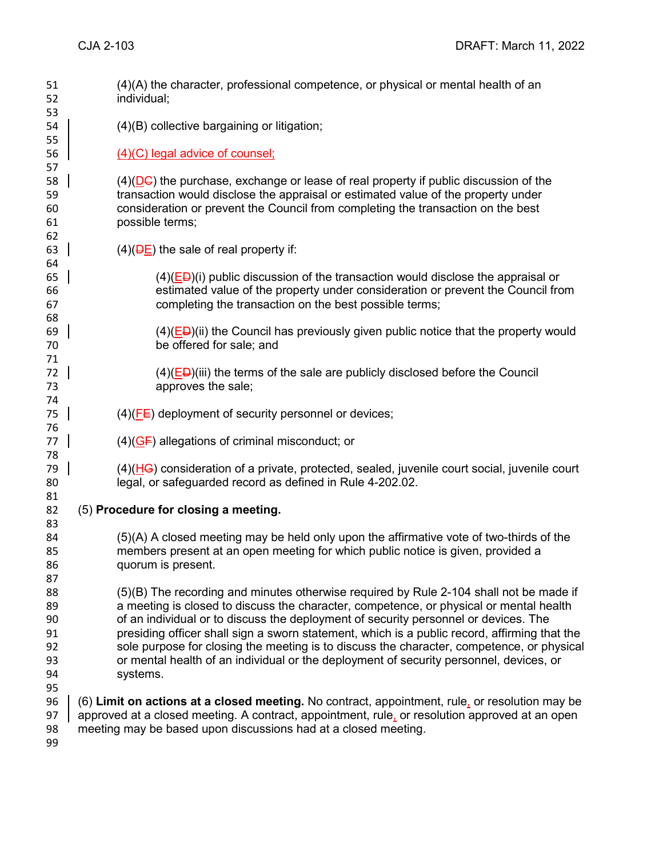| 51<br>52 | (4)(A) the character, professional competence, or physical or mental health of an<br>individual;               |
|----------|----------------------------------------------------------------------------------------------------------------|
| 53       |                                                                                                                |
| 54       | $(4)(B)$ collective bargaining or litigation;                                                                  |
| 55       |                                                                                                                |
| 56       | (4)(C) legal advice of counsel;                                                                                |
| 57       |                                                                                                                |
| 58       | $(4)$ ( $\overline{DC}$ ) the purchase, exchange or lease of real property if public discussion of the         |
| 59       | transaction would disclose the appraisal or estimated value of the property under                              |
| 60       | consideration or prevent the Council from completing the transaction on the best                               |
| 61       | possible terms;                                                                                                |
| 62       |                                                                                                                |
| 63       | $(4)(\overline{DE})$ the sale of real property if:                                                             |
| 64       |                                                                                                                |
| 65       | $(4)(E\rightarrow B)(i)$ public discussion of the transaction would disclose the appraisal or                  |
| 66       | estimated value of the property under consideration or prevent the Council from                                |
| 67       | completing the transaction on the best possible terms;                                                         |
| 68       |                                                                                                                |
| 69       | $(4)$ (ED)(ii) the Council has previously given public notice that the property would                          |
| 70       | be offered for sale; and                                                                                       |
| 71       |                                                                                                                |
| 72       | $(4)$ (ED)(iii) the terms of the sale are publicly disclosed before the Council                                |
| 73       | approves the sale;                                                                                             |
| 74       |                                                                                                                |
| 75       | $(4)$ ( $\overline{FE}$ ) deployment of security personnel or devices;                                         |
| 76       |                                                                                                                |
| 77       | $(4)(\overline{GF})$ allegations of criminal misconduct; or                                                    |
| 78       |                                                                                                                |
| 79       | $(4)$ ( $\overline{HG}$ ) consideration of a private, protected, sealed, juvenile court social, juvenile court |
| 80       | legal, or safeguarded record as defined in Rule 4-202.02.                                                      |
| 81       |                                                                                                                |
| 82       | (5) Procedure for closing a meeting.                                                                           |
| 83       |                                                                                                                |
| 84       | (5)(A) A closed meeting may be held only upon the affirmative vote of two-thirds of the                        |
| 85       | members present at an open meeting for which public notice is given, provided a                                |
| 86       | quorum is present.                                                                                             |
| 87       |                                                                                                                |
| 88       | (5)(B) The recording and minutes otherwise required by Rule 2-104 shall not be made if                         |
| 89       | a meeting is closed to discuss the character, competence, or physical or mental health                         |
| 90       | of an individual or to discuss the deployment of security personnel or devices. The                            |
| 91       | presiding officer shall sign a sworn statement, which is a public record, affirming that the                   |
| 92       | sole purpose for closing the meeting is to discuss the character, competence, or physical                      |
| 93       | or mental health of an individual or the deployment of security personnel, devices, or                         |
| 94       | systems.                                                                                                       |
| 95       |                                                                                                                |
| 96       | (6) Limit on actions at a closed meeting. No contract, appointment, rule, or resolution may be                 |
| 97       | approved at a closed meeting. A contract, appointment, rule, or resolution approved at an open                 |
| 98       | meeting may be based upon discussions had at a closed meeting.                                                 |
| 99       |                                                                                                                |